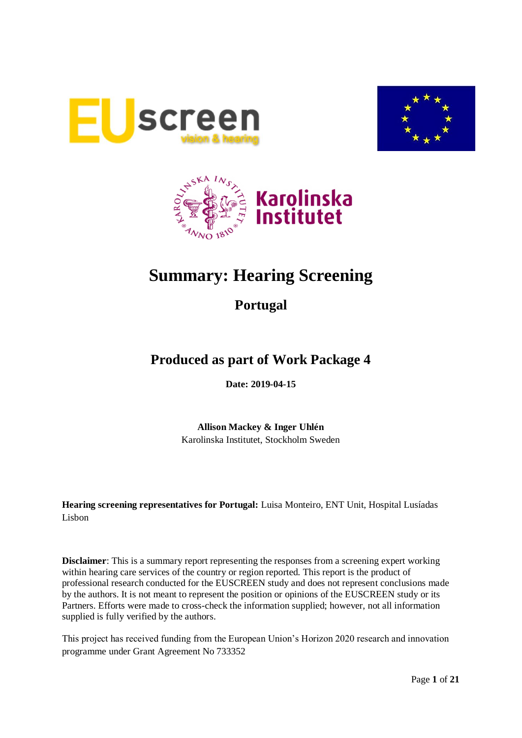





# **Summary: Hearing Screening**

**Portugal**

## **Produced as part of Work Package 4**

**Date: 2019-04-15**

**Allison Mackey & Inger Uhlén** Karolinska Institutet, Stockholm Sweden

**Hearing screening representatives for Portugal:** Luisa Monteiro, ENT Unit, Hospital Lusíadas Lisbon

**Disclaimer**: This is a summary report representing the responses from a screening expert working within hearing care services of the country or region reported. This report is the product of professional research conducted for the EUSCREEN study and does not represent conclusions made by the authors. It is not meant to represent the position or opinions of the EUSCREEN study or its Partners. Efforts were made to cross-check the information supplied; however, not all information supplied is fully verified by the authors.

This project has received funding from the European Union's Horizon 2020 research and innovation programme under Grant Agreement No 733352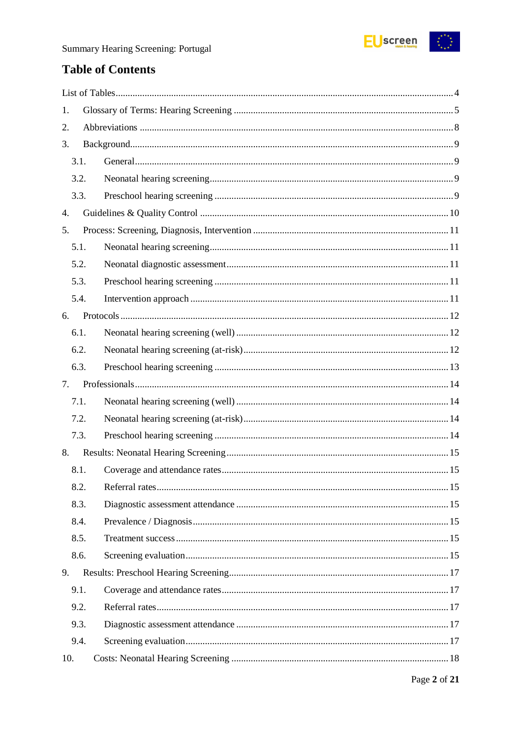

## **Table of Contents**

| 1.   |  |
|------|--|
| 2.   |  |
| 3.   |  |
| 3.1. |  |
| 3.2. |  |
| 3.3. |  |
| 4.   |  |
| 5.   |  |
| 5.1. |  |
| 5.2. |  |
| 5.3. |  |
| 5.4. |  |
| 6.   |  |
| 6.1. |  |
| 6.2. |  |
| 6.3. |  |
| 7.   |  |
| 7.1. |  |
| 7.2. |  |
| 7.3. |  |
| 8.   |  |
| 8.1. |  |
| 8.2. |  |
| 8.3. |  |
| 8.4. |  |
| 8.5. |  |
| 8.6. |  |
| 9.   |  |
| 9.1. |  |
| 9.2. |  |
| 9.3. |  |
|      |  |
| 9.4. |  |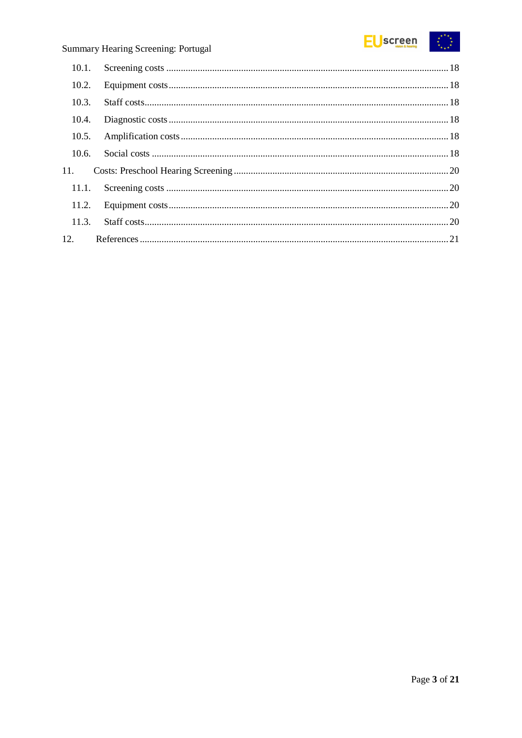

| 10.1. |  |
|-------|--|
| 10.2. |  |
| 10.3. |  |
| 10.4. |  |
| 10.5. |  |
| 10.6. |  |
| 11.   |  |
| 11.1. |  |
|       |  |
| 11.3. |  |
| 12.   |  |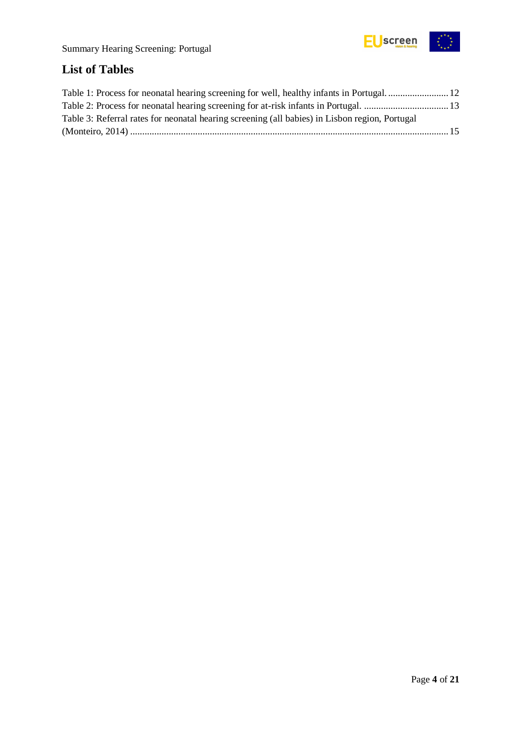

## <span id="page-3-0"></span>**List of Tables**

| Table 3: Referral rates for neonatal hearing screening (all babies) in Lisbon region, Portugal |  |
|------------------------------------------------------------------------------------------------|--|
|                                                                                                |  |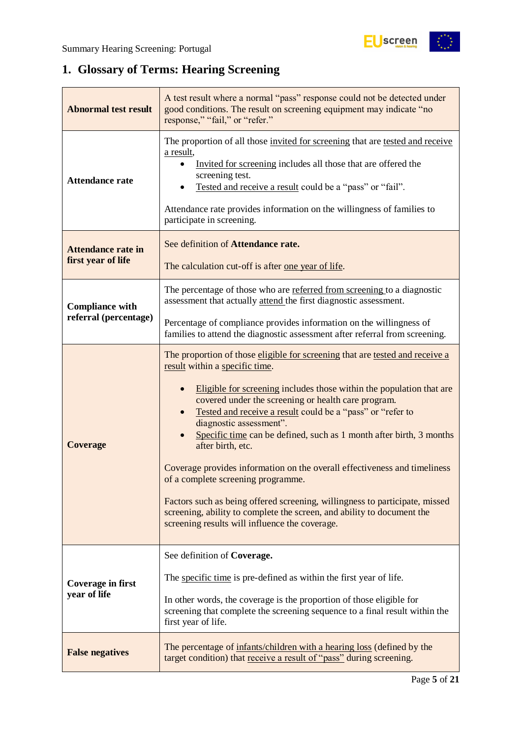## <span id="page-4-0"></span>**1. Glossary of Terms: Hearing Screening**

| <b>Abnormal test result</b>                                                                                                                                                                                                                                                                                                 | A test result where a normal "pass" response could not be detected under<br>good conditions. The result on screening equipment may indicate "no<br>response," "fail," or "refer."                                                                                                                                                                                                                                                                                                                                                                                                                                                                                                                                                                                |  |  |
|-----------------------------------------------------------------------------------------------------------------------------------------------------------------------------------------------------------------------------------------------------------------------------------------------------------------------------|------------------------------------------------------------------------------------------------------------------------------------------------------------------------------------------------------------------------------------------------------------------------------------------------------------------------------------------------------------------------------------------------------------------------------------------------------------------------------------------------------------------------------------------------------------------------------------------------------------------------------------------------------------------------------------------------------------------------------------------------------------------|--|--|
| <b>Attendance rate</b>                                                                                                                                                                                                                                                                                                      | The proportion of all those invited for screening that are tested and receive<br>a result,<br>Invited for screening includes all those that are offered the<br>screening test.<br>Tested and receive a result could be a "pass" or "fail".<br>Attendance rate provides information on the willingness of families to<br>participate in screening.                                                                                                                                                                                                                                                                                                                                                                                                                |  |  |
| <b>Attendance rate in</b><br>first year of life                                                                                                                                                                                                                                                                             | See definition of Attendance rate.<br>The calculation cut-off is after one year of life.                                                                                                                                                                                                                                                                                                                                                                                                                                                                                                                                                                                                                                                                         |  |  |
| <b>Compliance with</b>                                                                                                                                                                                                                                                                                                      | The percentage of those who are referred from screening to a diagnostic<br>assessment that actually attend the first diagnostic assessment.                                                                                                                                                                                                                                                                                                                                                                                                                                                                                                                                                                                                                      |  |  |
| referral (percentage)                                                                                                                                                                                                                                                                                                       | Percentage of compliance provides information on the willingness of<br>families to attend the diagnostic assessment after referral from screening.                                                                                                                                                                                                                                                                                                                                                                                                                                                                                                                                                                                                               |  |  |
| <b>Coverage</b>                                                                                                                                                                                                                                                                                                             | The proportion of those eligible for screening that are tested and receive a<br>result within a specific time.<br>Eligible for screening includes those within the population that are<br>covered under the screening or health care program.<br>Tested and receive a result could be a "pass" or "refer to<br>diagnostic assessment".<br>Specific time can be defined, such as 1 month after birth, 3 months<br>after birth, etc.<br>Coverage provides information on the overall effectiveness and timeliness<br>of a complete screening programme.<br>Factors such as being offered screening, willingness to participate, missed<br>screening, ability to complete the screen, and ability to document the<br>screening results will influence the coverage. |  |  |
| See definition of Coverage.<br>The specific time is pre-defined as within the first year of life.<br><b>Coverage in first</b><br>year of life<br>In other words, the coverage is the proportion of those eligible for<br>screening that complete the screening sequence to a final result within the<br>first year of life. |                                                                                                                                                                                                                                                                                                                                                                                                                                                                                                                                                                                                                                                                                                                                                                  |  |  |
| The percentage of infants/children with a hearing loss (defined by the<br><b>False negatives</b><br>target condition) that receive a result of "pass" during screening.                                                                                                                                                     |                                                                                                                                                                                                                                                                                                                                                                                                                                                                                                                                                                                                                                                                                                                                                                  |  |  |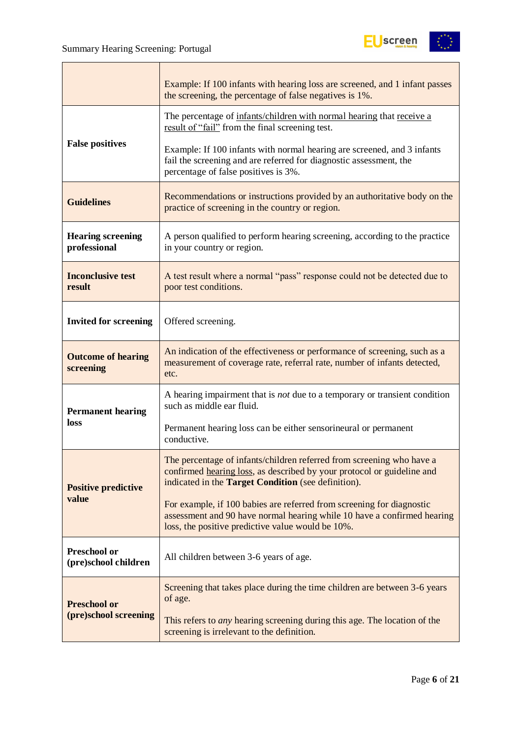

|                                             | Example: If 100 infants with hearing loss are screened, and 1 infant passes<br>the screening, the percentage of false negatives is 1%.                                                                 |
|---------------------------------------------|--------------------------------------------------------------------------------------------------------------------------------------------------------------------------------------------------------|
|                                             | The percentage of infants/children with normal hearing that receive a<br>result of "fail" from the final screening test.                                                                               |
| <b>False positives</b>                      | Example: If 100 infants with normal hearing are screened, and 3 infants<br>fail the screening and are referred for diagnostic assessment, the<br>percentage of false positives is 3%.                  |
| <b>Guidelines</b>                           | Recommendations or instructions provided by an authoritative body on the<br>practice of screening in the country or region.                                                                            |
| <b>Hearing screening</b><br>professional    | A person qualified to perform hearing screening, according to the practice<br>in your country or region.                                                                                               |
| <b>Inconclusive test</b><br>result          | A test result where a normal "pass" response could not be detected due to<br>poor test conditions.                                                                                                     |
| <b>Invited for screening</b>                | Offered screening.                                                                                                                                                                                     |
| <b>Outcome of hearing</b><br>screening      | An indication of the effectiveness or performance of screening, such as a<br>measurement of coverage rate, referral rate, number of infants detected,<br>etc.                                          |
| <b>Permanent hearing</b>                    | A hearing impairment that is <i>not</i> due to a temporary or transient condition<br>such as middle ear fluid.                                                                                         |
| loss                                        | Permanent hearing loss can be either sensorineural or permanent<br>conductive.                                                                                                                         |
| <b>Positive predictive</b>                  | The percentage of infants/children referred from screening who have a<br>confirmed hearing loss, as described by your protocol or guideline and<br>indicated in the Target Condition (see definition). |
| value                                       | For example, if 100 babies are referred from screening for diagnostic<br>assessment and 90 have normal hearing while 10 have a confirmed hearing<br>loss, the positive predictive value would be 10%.  |
| <b>Preschool or</b><br>(pre)school children | All children between 3-6 years of age.                                                                                                                                                                 |
| <b>Preschool or</b>                         | Screening that takes place during the time children are between 3-6 years<br>of age.                                                                                                                   |
| (pre)school screening                       | This refers to <i>any</i> hearing screening during this age. The location of the<br>screening is irrelevant to the definition.                                                                         |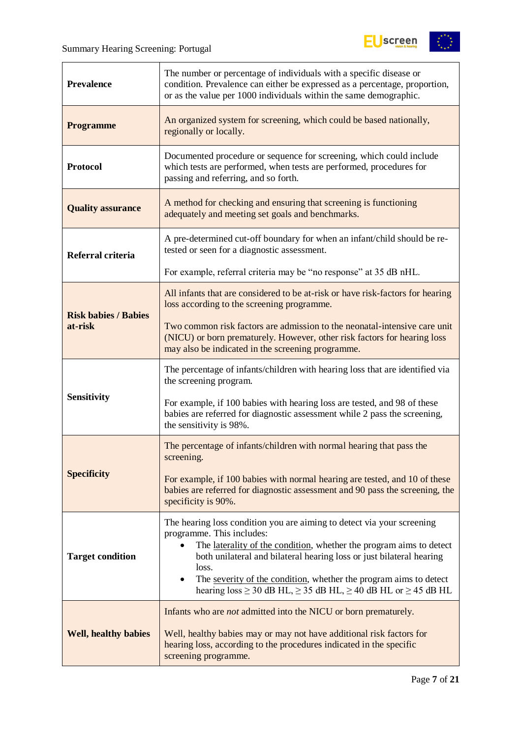

| <b>Prevalence</b>           | The number or percentage of individuals with a specific disease or<br>condition. Prevalence can either be expressed as a percentage, proportion,<br>or as the value per 1000 individuals within the same demographic.                                                                                                                                                                                                          |
|-----------------------------|--------------------------------------------------------------------------------------------------------------------------------------------------------------------------------------------------------------------------------------------------------------------------------------------------------------------------------------------------------------------------------------------------------------------------------|
| <b>Programme</b>            | An organized system for screening, which could be based nationally,<br>regionally or locally.                                                                                                                                                                                                                                                                                                                                  |
| <b>Protocol</b>             | Documented procedure or sequence for screening, which could include<br>which tests are performed, when tests are performed, procedures for<br>passing and referring, and so forth.                                                                                                                                                                                                                                             |
| <b>Quality assurance</b>    | A method for checking and ensuring that screening is functioning<br>adequately and meeting set goals and benchmarks.                                                                                                                                                                                                                                                                                                           |
| Referral criteria           | A pre-determined cut-off boundary for when an infant/child should be re-<br>tested or seen for a diagnostic assessment.                                                                                                                                                                                                                                                                                                        |
|                             | For example, referral criteria may be "no response" at 35 dB nHL.                                                                                                                                                                                                                                                                                                                                                              |
| <b>Risk babies / Babies</b> | All infants that are considered to be at-risk or have risk-factors for hearing<br>loss according to the screening programme.                                                                                                                                                                                                                                                                                                   |
| at-risk                     | Two common risk factors are admission to the neonatal-intensive care unit<br>(NICU) or born prematurely. However, other risk factors for hearing loss<br>may also be indicated in the screening programme.                                                                                                                                                                                                                     |
|                             | The percentage of infants/children with hearing loss that are identified via<br>the screening program.                                                                                                                                                                                                                                                                                                                         |
| <b>Sensitivity</b>          | For example, if 100 babies with hearing loss are tested, and 98 of these<br>babies are referred for diagnostic assessment while 2 pass the screening,<br>the sensitivity is 98%.                                                                                                                                                                                                                                               |
|                             | The percentage of infants/children with normal hearing that pass the<br>screening.                                                                                                                                                                                                                                                                                                                                             |
| <b>Specificity</b>          | For example, if 100 babies with normal hearing are tested, and 10 of these<br>babies are referred for diagnostic assessment and 90 pass the screening, the<br>specificity is 90%.                                                                                                                                                                                                                                              |
| <b>Target condition</b>     | The hearing loss condition you are aiming to detect via your screening<br>programme. This includes:<br>The laterality of the condition, whether the program aims to detect<br>both unilateral and bilateral hearing loss or just bilateral hearing<br>loss.<br>The severity of the condition, whether the program aims to detect<br>$\bullet$<br>hearing $loss \ge 30$ dB HL, $\ge 35$ dB HL, $\ge 40$ dB HL or $\ge 45$ dB HL |
| <b>Well, healthy babies</b> | Infants who are <i>not</i> admitted into the NICU or born prematurely.<br>Well, healthy babies may or may not have additional risk factors for<br>hearing loss, according to the procedures indicated in the specific<br>screening programme.                                                                                                                                                                                  |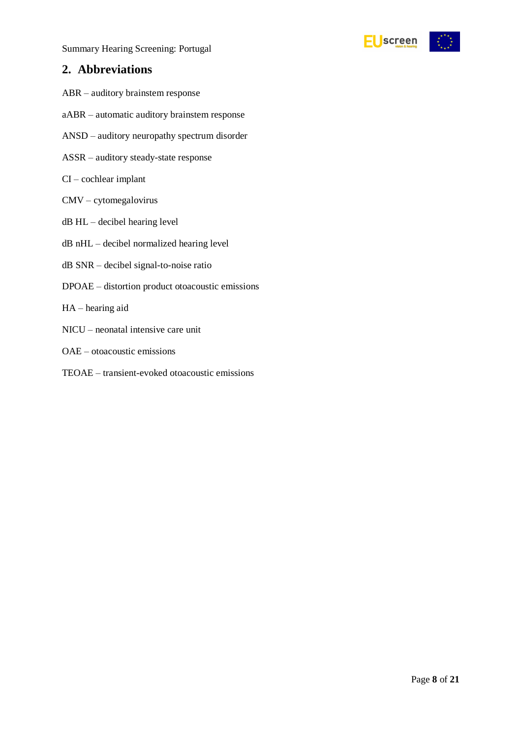

### <span id="page-7-0"></span>**2. Abbreviations**

- ABR auditory brainstem response
- aABR automatic auditory brainstem response
- ANSD auditory neuropathy spectrum disorder
- ASSR auditory steady-state response
- CI cochlear implant
- CMV cytomegalovirus
- dB HL decibel hearing level
- dB nHL decibel normalized hearing level
- dB SNR decibel signal-to-noise ratio
- DPOAE distortion product otoacoustic emissions
- HA hearing aid
- NICU neonatal intensive care unit
- OAE otoacoustic emissions
- TEOAE transient-evoked otoacoustic emissions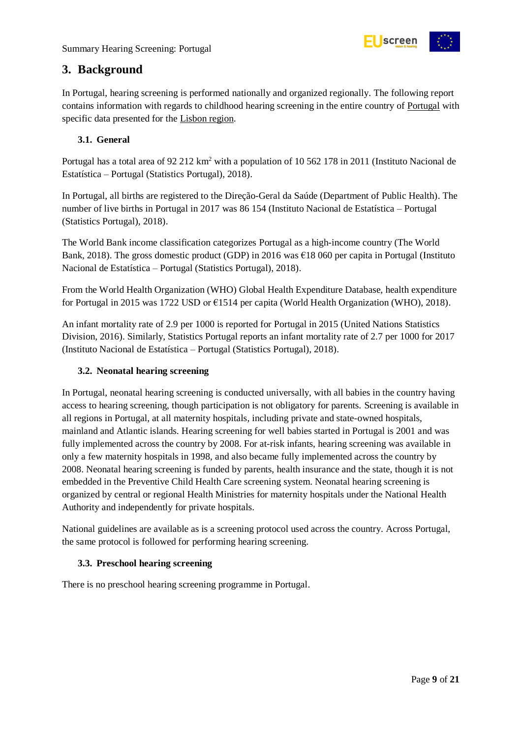

### <span id="page-8-0"></span>**3. Background**

In Portugal, hearing screening is performed nationally and organized regionally. The following report contains information with regards to childhood hearing screening in the entire country of Portugal with specific data presented for the Lisbon region.

### <span id="page-8-1"></span>**3.1. General**

Portugal has a total area of 92 212 km<sup>2</sup> with a population of 10 562 178 in 2011 (Instituto Nacional de Estatística – Portugal (Statistics Portugal), 2018).

In Portugal, all births are registered to the Direção-Geral da Saúde (Department of Public Health). The number of live births in Portugal in 2017 was 86 154 (Instituto Nacional de Estatística – Portugal (Statistics Portugal), 2018).

The World Bank income classification categorizes Portugal as a high-income country (The World Bank, 2018). The gross domestic product (GDP) in 2016 was  $\epsilon$ 18 060 per capita in Portugal (Instituto Nacional de Estatística – Portugal (Statistics Portugal), 2018).

From the World Health Organization (WHO) Global Health Expenditure Database, health expenditure for Portugal in 2015 was 1722 USD or €1514 per capita (World Health Organization (WHO), 2018).

An infant mortality rate of 2.9 per 1000 is reported for Portugal in 2015 (United Nations Statistics Division, 2016). Similarly, Statistics Portugal reports an infant mortality rate of 2.7 per 1000 for 2017 (Instituto Nacional de Estatística – Portugal (Statistics Portugal), 2018).

### <span id="page-8-2"></span>**3.2. Neonatal hearing screening**

In Portugal, neonatal hearing screening is conducted universally, with all babies in the country having access to hearing screening, though participation is not obligatory for parents. Screening is available in all regions in Portugal, at all maternity hospitals, including private and state-owned hospitals, mainland and Atlantic islands. Hearing screening for well babies started in Portugal is 2001 and was fully implemented across the country by 2008. For at-risk infants, hearing screening was available in only a few maternity hospitals in 1998, and also became fully implemented across the country by 2008. Neonatal hearing screening is funded by parents, health insurance and the state, though it is not embedded in the Preventive Child Health Care screening system. Neonatal hearing screening is organized by central or regional Health Ministries for maternity hospitals under the National Health Authority and independently for private hospitals.

National guidelines are available as is a screening protocol used across the country. Across Portugal, the same protocol is followed for performing hearing screening.

### <span id="page-8-3"></span>**3.3. Preschool hearing screening**

There is no preschool hearing screening programme in Portugal.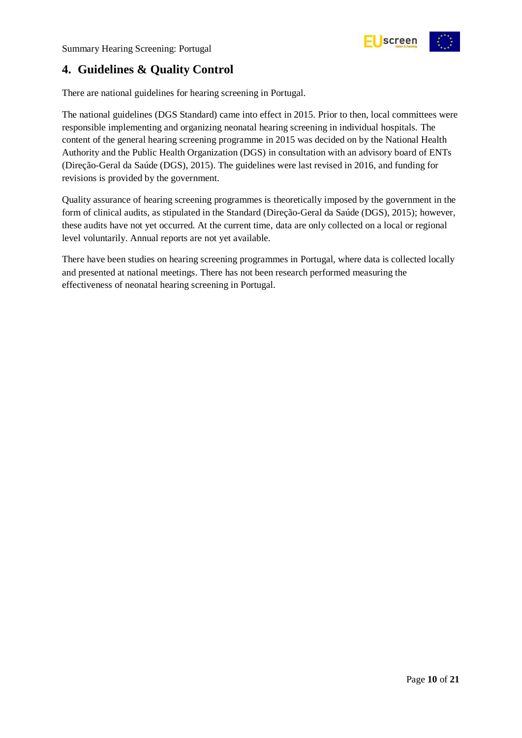

### <span id="page-9-0"></span>**4. Guidelines & Quality Control**

There are national guidelines for hearing screening in Portugal.

The national guidelines (DGS Standard) came into effect in 2015. Prior to then, local committees were responsible implementing and organizing neonatal hearing screening in individual hospitals. The content of the general hearing screening programme in 2015 was decided on by the National Health Authority and the Public Health Organization (DGS) in consultation with an advisory board of ENTs (Direção-Geral da Saúde (DGS), 2015). The guidelines were last revised in 2016, and funding for revisions is provided by the government.

Quality assurance of hearing screening programmes is theoretically imposed by the government in the form of clinical audits, as stipulated in the Standard (Direção-Geral da Saúde (DGS), 2015); however, these audits have not yet occurred. At the current time, data are only collected on a local or regional level voluntarily. Annual reports are not yet available.

There have been studies on hearing screening programmes in Portugal, where data is collected locally and presented at national meetings. There has not been research performed measuring the effectiveness of neonatal hearing screening in Portugal.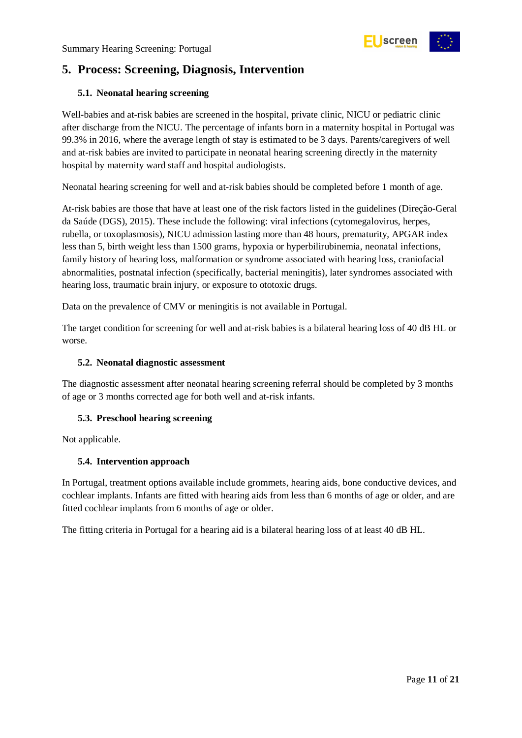

### <span id="page-10-0"></span>**5. Process: Screening, Diagnosis, Intervention**

### <span id="page-10-1"></span>**5.1. Neonatal hearing screening**

Well-babies and at-risk babies are screened in the hospital, private clinic, NICU or pediatric clinic after discharge from the NICU. The percentage of infants born in a maternity hospital in Portugal was 99.3% in 2016, where the average length of stay is estimated to be 3 days. Parents/caregivers of well and at-risk babies are invited to participate in neonatal hearing screening directly in the maternity hospital by maternity ward staff and hospital audiologists.

Neonatal hearing screening for well and at-risk babies should be completed before 1 month of age.

At-risk babies are those that have at least one of the risk factors listed in the guidelines (Direção-Geral da Saúde (DGS), 2015). These include the following: viral infections (cytomegalovirus, herpes, rubella, or toxoplasmosis), NICU admission lasting more than 48 hours, prematurity, APGAR index less than 5, birth weight less than 1500 grams, hypoxia or hyperbilirubinemia, neonatal infections, family history of hearing loss, malformation or syndrome associated with hearing loss, craniofacial abnormalities, postnatal infection (specifically, bacterial meningitis), later syndromes associated with hearing loss, traumatic brain injury, or exposure to ototoxic drugs.

Data on the prevalence of CMV or meningitis is not available in Portugal.

The target condition for screening for well and at-risk babies is a bilateral hearing loss of 40 dB HL or worse.

#### <span id="page-10-2"></span>**5.2. Neonatal diagnostic assessment**

The diagnostic assessment after neonatal hearing screening referral should be completed by 3 months of age or 3 months corrected age for both well and at-risk infants.

### <span id="page-10-3"></span>**5.3. Preschool hearing screening**

Not applicable.

#### <span id="page-10-4"></span>**5.4. Intervention approach**

In Portugal, treatment options available include grommets, hearing aids, bone conductive devices, and cochlear implants. Infants are fitted with hearing aids from less than 6 months of age or older, and are fitted cochlear implants from 6 months of age or older.

The fitting criteria in Portugal for a hearing aid is a bilateral hearing loss of at least 40 dB HL.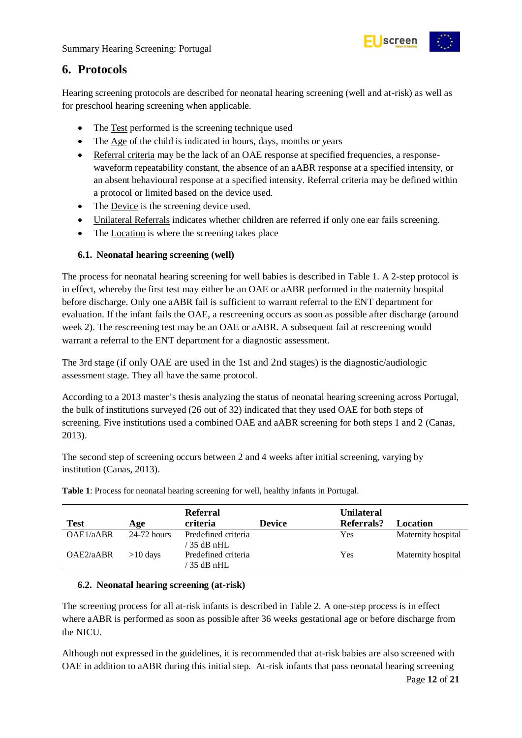

### <span id="page-11-0"></span>**6. Protocols**

Hearing screening protocols are described for neonatal hearing screening (well and at-risk) as well as for preschool hearing screening when applicable.

- The Test performed is the screening technique used
- The Age of the child is indicated in hours, days, months or years
- Referral criteria may be the lack of an OAE response at specified frequencies, a responsewaveform repeatability constant, the absence of an aABR response at a specified intensity, or an absent behavioural response at a specified intensity. Referral criteria may be defined within a protocol or limited based on the device used.
- The Device is the screening device used.
- Unilateral Referrals indicates whether children are referred if only one ear fails screening.
- The Location is where the screening takes place

### <span id="page-11-1"></span>**6.1. Neonatal hearing screening (well)**

The process for neonatal hearing screening for well babies is described in Table 1. A 2-step protocol is in effect, whereby the first test may either be an OAE or aABR performed in the maternity hospital before discharge. Only one aABR fail is sufficient to warrant referral to the ENT department for evaluation. If the infant fails the OAE, a rescreening occurs as soon as possible after discharge (around week 2). The rescreening test may be an OAE or aABR. A subsequent fail at rescreening would warrant a referral to the ENT department for a diagnostic assessment.

The 3rd stage (if only OAE are used in the 1st and 2nd stages) is the diagnostic/audiologic assessment stage. They all have the same protocol.

According to a 2013 master's thesis analyzing the status of neonatal hearing screening across Portugal, the bulk of institutions surveyed (26 out of 32) indicated that they used OAE for both steps of screening. Five institutions used a combined OAE and aABR screening for both steps 1 and 2 (Canas, 2013).

The second step of screening occurs between 2 and 4 weeks after initial screening, varying by institution (Canas, 2013).

|             |               | <b>Referral</b>                      |               | <b>Unilateral</b> |                    |
|-------------|---------------|--------------------------------------|---------------|-------------------|--------------------|
| <b>Test</b> | Age           | criteria                             | <b>Device</b> | Referrals?        | Location           |
| OAE1/aABR   | $24-72$ hours | Predefined criteria<br>$'$ 35 dB nHL |               | Yes               | Maternity hospital |
| OAE2/aABR   | $>10$ days    | Predefined criteria<br>$35$ dB nHL   |               | Yes               | Maternity hospital |

<span id="page-11-3"></span>**Table 1**: Process for neonatal hearing screening for well, healthy infants in Portugal.

### <span id="page-11-2"></span>**6.2. Neonatal hearing screening (at-risk)**

The screening process for all at-risk infants is described in Table 2. A one-step process is in effect where aABR is performed as soon as possible after 36 weeks gestational age or before discharge from the NICU.

Although not expressed in the guidelines, it is recommended that at-risk babies are also screened with OAE in addition to aABR during this initial step. At-risk infants that pass neonatal hearing screening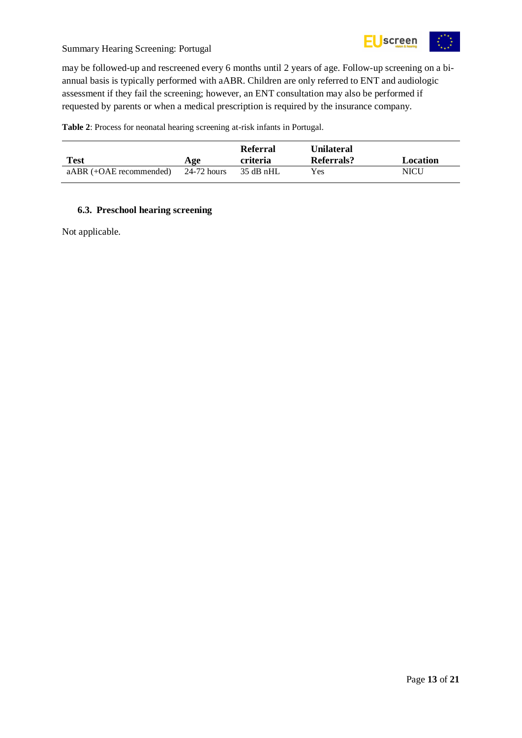

may be followed-up and rescreened every 6 months until 2 years of age. Follow-up screening on a biannual basis is typically performed with aABR. Children are only referred to ENT and audiologic assessment if they fail the screening; however, an ENT consultation may also be performed if requested by parents or when a medical prescription is required by the insurance company.

<span id="page-12-1"></span>**Table 2**: Process for neonatal hearing screening at-risk infants in Portugal.

| Test                      | Age         | <b>Referral</b><br>criteria | Unilateral<br>Referrals? | Location |
|---------------------------|-------------|-----------------------------|--------------------------|----------|
| $aABR (+OAE$ recommended) | 24-72 hours | 35 dB nHL                   | Yes                      | NICU     |

### <span id="page-12-0"></span>**6.3. Preschool hearing screening**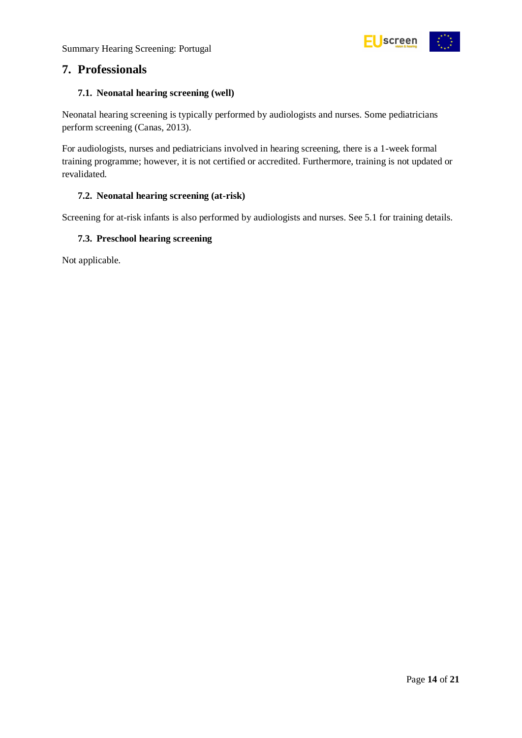

### <span id="page-13-0"></span>**7. Professionals**

### <span id="page-13-1"></span>**7.1. Neonatal hearing screening (well)**

Neonatal hearing screening is typically performed by audiologists and nurses. Some pediatricians perform screening (Canas, 2013).

For audiologists, nurses and pediatricians involved in hearing screening, there is a 1-week formal training programme; however, it is not certified or accredited. Furthermore, training is not updated or revalidated.

### <span id="page-13-2"></span>**7.2. Neonatal hearing screening (at-risk)**

Screening for at-risk infants is also performed by audiologists and nurses. See 5.1 for training details.

#### <span id="page-13-3"></span>**7.3. Preschool hearing screening**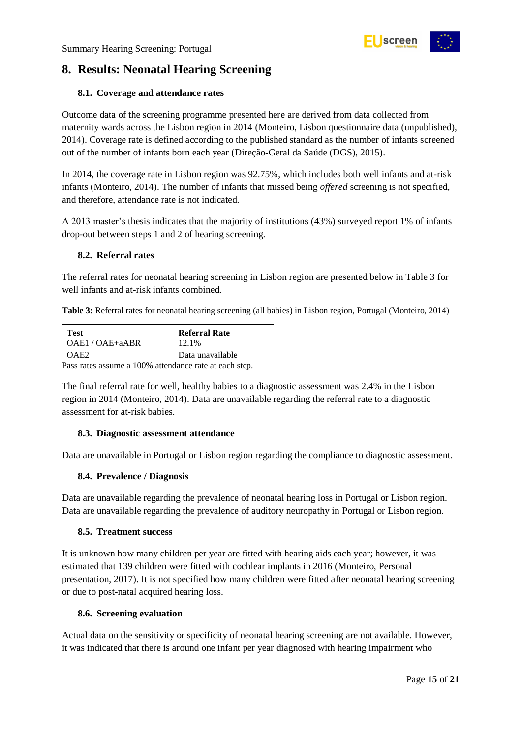

### <span id="page-14-0"></span>**8. Results: Neonatal Hearing Screening**

### <span id="page-14-1"></span>**8.1. Coverage and attendance rates**

Outcome data of the screening programme presented here are derived from data collected from maternity wards across the Lisbon region in 2014 (Monteiro, Lisbon questionnaire data (unpublished), 2014). Coverage rate is defined according to the published standard as the number of infants screened out of the number of infants born each year (Direção-Geral da Saúde (DGS), 2015).

In 2014, the coverage rate in Lisbon region was 92.75%, which includes both well infants and at-risk infants (Monteiro, 2014). The number of infants that missed being *offered* screening is not specified, and therefore, attendance rate is not indicated.

A 2013 master's thesis indicates that the majority of institutions (43%) surveyed report 1% of infants drop-out between steps 1 and 2 of hearing screening.

#### <span id="page-14-2"></span>**8.2. Referral rates**

The referral rates for neonatal hearing screening in Lisbon region are presented below in Table 3 for well infants and at-risk infants combined.

<span id="page-14-7"></span>**Table 3:** Referral rates for neonatal hearing screening (all babies) in Lisbon region, Portugal (Monteiro, 2014)

| <b>Test</b>                                            | <b>Referral Rate</b> |  |  |
|--------------------------------------------------------|----------------------|--|--|
| OAE1/OAE+aABR                                          | 12.1%                |  |  |
| OAE2                                                   | Data unavailable     |  |  |
| Pass rates assume a 100% attendance rate at each step. |                      |  |  |

The final referral rate for well, healthy babies to a diagnostic assessment was 2.4% in the Lisbon region in 2014 (Monteiro, 2014). Data are unavailable regarding the referral rate to a diagnostic assessment for at-risk babies.

#### <span id="page-14-3"></span>**8.3. Diagnostic assessment attendance**

Data are unavailable in Portugal or Lisbon region regarding the compliance to diagnostic assessment.

#### <span id="page-14-4"></span>**8.4. Prevalence / Diagnosis**

Data are unavailable regarding the prevalence of neonatal hearing loss in Portugal or Lisbon region. Data are unavailable regarding the prevalence of auditory neuropathy in Portugal or Lisbon region.

#### <span id="page-14-5"></span>**8.5. Treatment success**

It is unknown how many children per year are fitted with hearing aids each year; however, it was estimated that 139 children were fitted with cochlear implants in 2016 (Monteiro, Personal presentation, 2017). It is not specified how many children were fitted after neonatal hearing screening or due to post-natal acquired hearing loss.

#### <span id="page-14-6"></span>**8.6. Screening evaluation**

Actual data on the sensitivity or specificity of neonatal hearing screening are not available. However, it was indicated that there is around one infant per year diagnosed with hearing impairment who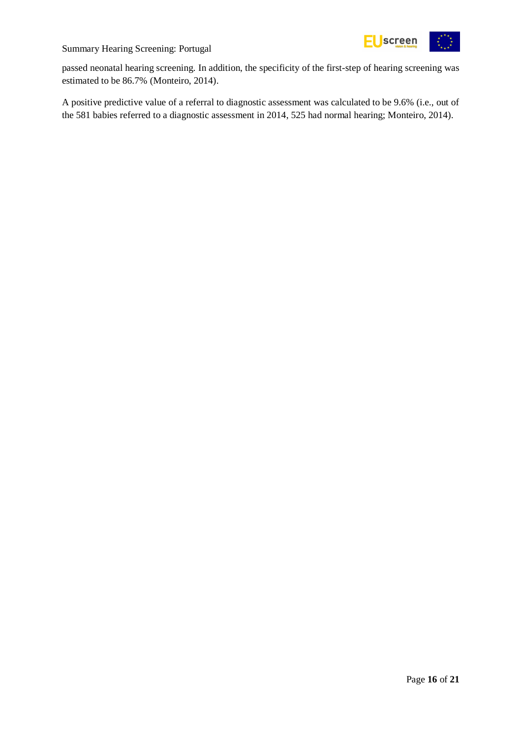

passed neonatal hearing screening. In addition, the specificity of the first-step of hearing screening was estimated to be 86.7% (Monteiro, 2014).

A positive predictive value of a referral to diagnostic assessment was calculated to be 9.6% (i.e., out of the 581 babies referred to a diagnostic assessment in 2014, 525 had normal hearing; Monteiro, 2014).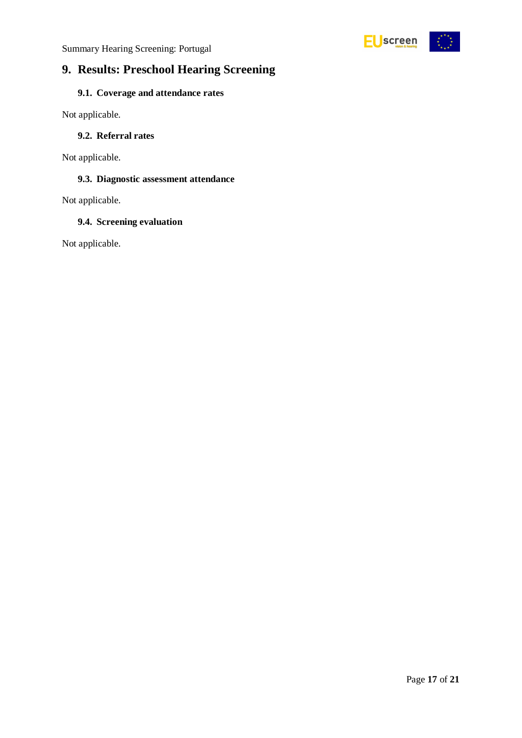

### <span id="page-16-0"></span>**9. Results: Preschool Hearing Screening**

### <span id="page-16-1"></span>**9.1. Coverage and attendance rates**

Not applicable.

#### <span id="page-16-2"></span>**9.2. Referral rates**

Not applicable.

### <span id="page-16-3"></span>**9.3. Diagnostic assessment attendance**

Not applicable.

#### <span id="page-16-4"></span>**9.4. Screening evaluation**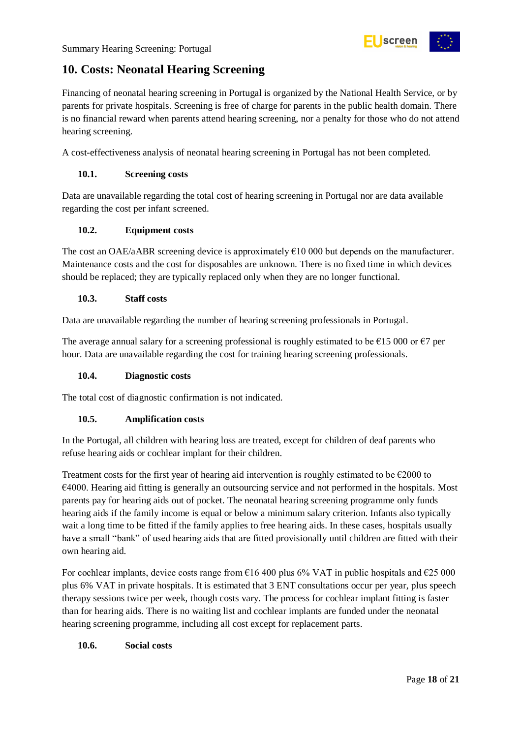

### <span id="page-17-0"></span>**10. Costs: Neonatal Hearing Screening**

Financing of neonatal hearing screening in Portugal is organized by the National Health Service, or by parents for private hospitals. Screening is free of charge for parents in the public health domain. There is no financial reward when parents attend hearing screening, nor a penalty for those who do not attend hearing screening.

A cost-effectiveness analysis of neonatal hearing screening in Portugal has not been completed.

### <span id="page-17-1"></span>**10.1. Screening costs**

Data are unavailable regarding the total cost of hearing screening in Portugal nor are data available regarding the cost per infant screened.

### <span id="page-17-2"></span>**10.2. Equipment costs**

The cost an OAE/aABR screening device is approximately  $\epsilon$ 10 000 but depends on the manufacturer. Maintenance costs and the cost for disposables are unknown. There is no fixed time in which devices should be replaced; they are typically replaced only when they are no longer functional.

### <span id="page-17-3"></span>**10.3. Staff costs**

Data are unavailable regarding the number of hearing screening professionals in Portugal.

The average annual salary for a screening professional is roughly estimated to be  $\epsilon$ 15 000 or  $\epsilon$ 7 per hour. Data are unavailable regarding the cost for training hearing screening professionals.

### <span id="page-17-4"></span>**10.4. Diagnostic costs**

The total cost of diagnostic confirmation is not indicated.

### <span id="page-17-5"></span>**10.5. Amplification costs**

In the Portugal, all children with hearing loss are treated, except for children of deaf parents who refuse hearing aids or cochlear implant for their children.

Treatment costs for the first year of hearing aid intervention is roughly estimated to be  $\epsilon$ 2000 to €4000. Hearing aid fitting is generally an outsourcing service and not performed in the hospitals. Most parents pay for hearing aids out of pocket. The neonatal hearing screening programme only funds hearing aids if the family income is equal or below a minimum salary criterion. Infants also typically wait a long time to be fitted if the family applies to free hearing aids. In these cases, hospitals usually have a small "bank" of used hearing aids that are fitted provisionally until children are fitted with their own hearing aid.

For cochlear implants, device costs range from  $\epsilon$ 16 400 plus 6% VAT in public hospitals and  $\epsilon$ 25 000 plus 6% VAT in private hospitals. It is estimated that 3 ENT consultations occur per year, plus speech therapy sessions twice per week, though costs vary. The process for cochlear implant fitting is faster than for hearing aids. There is no waiting list and cochlear implants are funded under the neonatal hearing screening programme, including all cost except for replacement parts.

### <span id="page-17-6"></span>**10.6. Social costs**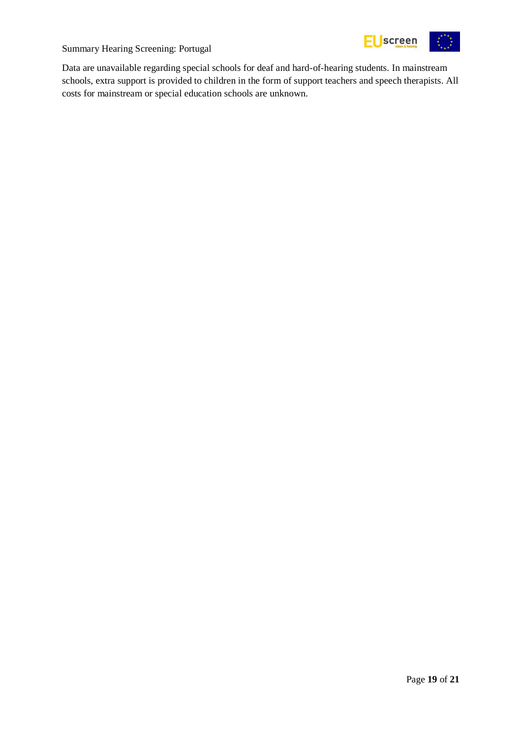

Data are unavailable regarding special schools for deaf and hard-of-hearing students. In mainstream schools, extra support is provided to children in the form of support teachers and speech therapists. All costs for mainstream or special education schools are unknown.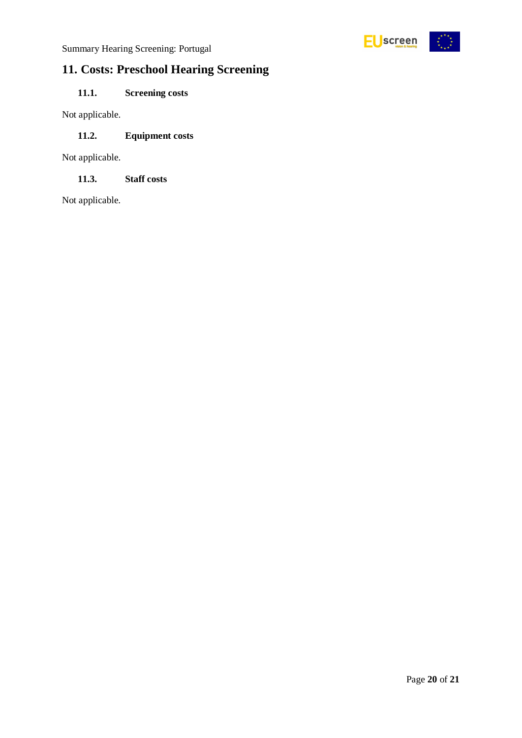

## <span id="page-19-0"></span>**11. Costs: Preschool Hearing Screening**

### <span id="page-19-1"></span>**11.1. Screening costs**

Not applicable.

### <span id="page-19-2"></span>**11.2. Equipment costs**

Not applicable.

<span id="page-19-3"></span>**11.3. Staff costs**